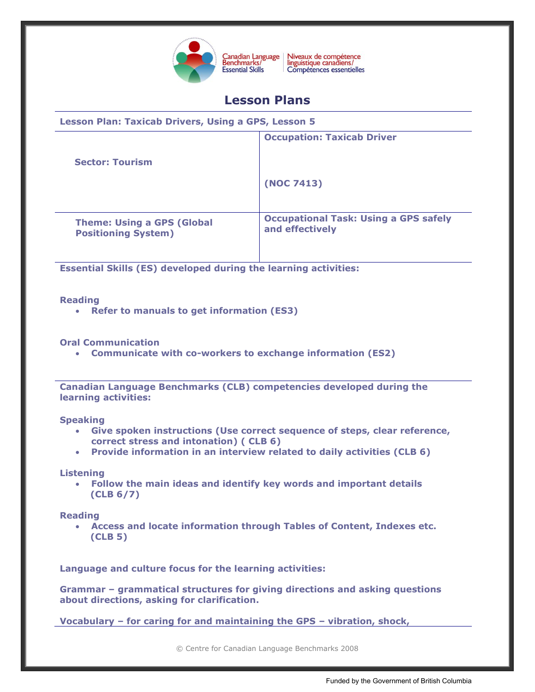

Niveaux de compétence<br>linguistique canadiens/ Canadian Language<br>Benchmarks/ Compétences essentielles

# **Lesson Plans**

**Lesson Plan: Taxicab Drivers, Using a GPS, Lesson 5 Occupation: Taxicab Driver**

 **Sector: Tourism** 

**(NOC 7413)**

**Theme: Using a GPS (Global Positioning System)**

**Occupational Task: Using a GPS safely and effectively**

**Essential Skills (ES) developed during the learning activities:** 

# **Reading**

**Refer to manuals to get information (ES3)**

# **Oral Communication**

**Communicate with co-workers to exchange information (ES2)**

**Canadian Language Benchmarks (CLB) competencies developed during the learning activities:**

#### **Speaking**

- **Give spoken instructions (Use correct sequence of steps, clear reference, correct stress and intonation) ( CLB 6)**
- **Provide information in an interview related to daily activities (CLB 6)**

# **Listening**

 **Follow the main ideas and identify key words and important details (CLB 6/7)**

# **Reading**

 **Access and locate information through Tables of Content, Indexes etc. (CLB 5)**

**Language and culture focus for the learning activities:** 

**Grammar – grammatical structures for giving directions and asking questions about directions, asking for clarification.**

**Vocabulary – for caring for and maintaining the GPS – vibration, shock,**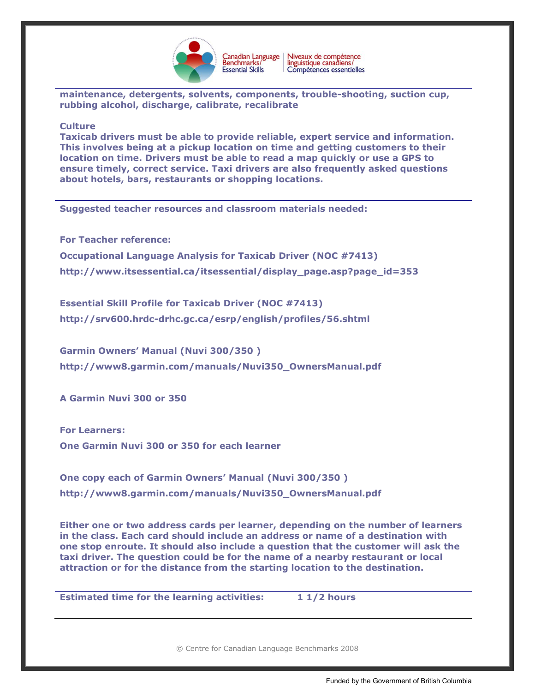

**maintenance, detergents, solvents, components, trouble-shooting, suction cup, rubbing alcohol, discharge, calibrate, recalibrate**

#### **Culture**

**Taxicab drivers must be able to provide reliable, expert service and information. This involves being at a pickup location on time and getting customers to their location on time. Drivers must be able to read a map quickly or use a GPS to ensure timely, correct service. Taxi drivers are also frequently asked questions about hotels, bars, restaurants or shopping locations.**

**Suggested teacher resources and classroom materials needed:** 

**For Teacher reference: Occupational Language Analysis for Taxicab Driver (NOC #7413) [http://www.itsessential.ca/itsessential/display\\_page.asp?page\\_id=353](http://www.itsessential.ca/itsessential/display_page.asp?page_id=353)**

**Essential Skill Profile for Taxicab Driver (NOC #7413) <http://srv600.hrdc-drhc.gc.ca/esrp/english/profiles/56.shtml>**

**Garmin Owners' Manual (Nuvi 300/350 ) [http://www8.garmin.com/manuals/Nuvi350\\_OwnersManual.pdf](http://www8.garmin.com/manuals/Nuvi350_OwnersManual.pdf)**

**A Garmin Nuvi 300 or 350**

**For Learners: One Garmin Nuvi 300 or 350 for each learner**

**One copy each of Garmin Owners' Manual (Nuvi 300/350 ) [http://www8.garmin.com/manuals/Nuvi350\\_OwnersManual.pdf](http://www8.garmin.com/manuals/Nuvi350_OwnersManual.pdf)**

**Either one or two address cards per learner, depending on the number of learners in the class. Each card should include an address or name of a destination with one stop enroute. It should also include a question that the customer will ask the taxi driver. The question could be for the name of a nearby restaurant or local attraction or for the distance from the starting location to the destination.** 

**Estimated time for the learning activities: 1 1/2 hours**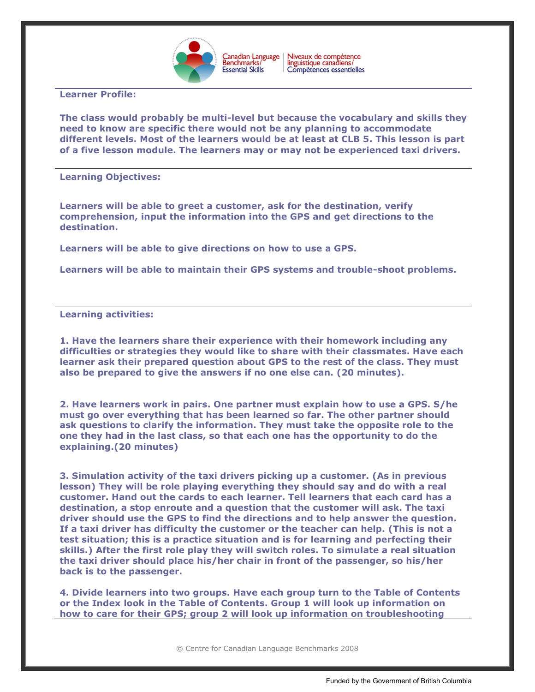

Niveaux de compétence<br>linguistique canadiens/ Canadian Language<br>Benchmarks/ Compétences essentielles

## **Learner Profile:**

**The class would probably be multi-level but because the vocabulary and skills they need to know are specific there would not be any planning to accommodate different levels. Most of the learners would be at least at CLB 5. This lesson is part of a five lesson module. The learners may or may not be experienced taxi drivers.**

#### **Learning Objectives:**

**Learners will be able to greet a customer, ask for the destination, verify comprehension, input the information into the GPS and get directions to the destination.** 

**Learners will be able to give directions on how to use a GPS.**

**Learners will be able to maintain their GPS systems and trouble-shoot problems.**

## **Learning activities:**

**1. Have the learners share their experience with their homework including any difficulties or strategies they would like to share with their classmates. Have each learner ask their prepared question about GPS to the rest of the class. They must also be prepared to give the answers if no one else can. (20 minutes).**

**2. Have learners work in pairs. One partner must explain how to use a GPS. S/he must go over everything that has been learned so far. The other partner should ask questions to clarify the information. They must take the opposite role to the one they had in the last class, so that each one has the opportunity to do the explaining.(20 minutes)**

**3. Simulation activity of the taxi drivers picking up a customer. (As in previous lesson) They will be role playing everything they should say and do with a real customer. Hand out the cards to each learner. Tell learners that each card has a destination, a stop enroute and a question that the customer will ask. The taxi driver should use the GPS to find the directions and to help answer the question. If a taxi driver has difficulty the customer or the teacher can help. (This is not a test situation; this is a practice situation and is for learning and perfecting their skills.) After the first role play they will switch roles. To simulate a real situation the taxi driver should place his/her chair in front of the passenger, so his/her back is to the passenger.** 

**4. Divide learners into two groups. Have each group turn to the Table of Contents or the Index look in the Table of Contents. Group 1 will look up information on how to care for their GPS; group 2 will look up information on troubleshooting**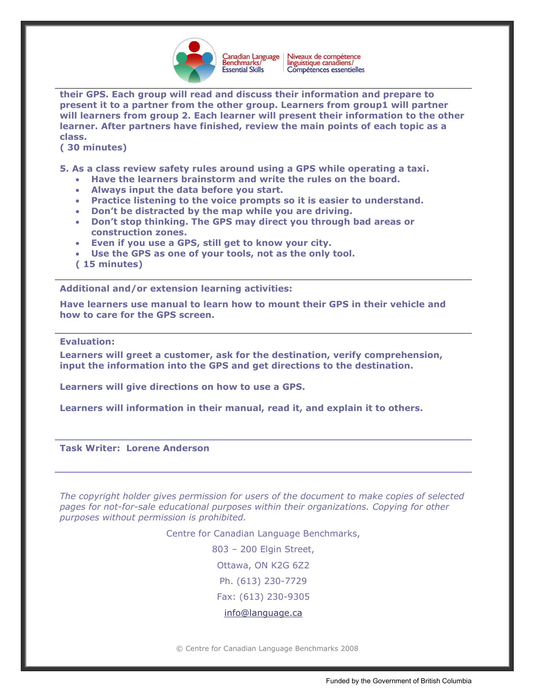

Niveaux de compétence<br>linguistique canadiens/ Canadian Language<br>Benchmarks/ Compétences essentielles

**their GPS. Each group will read and discuss their information and prepare to present it to a partner from the other group. Learners from group1 will partner will learners from group 2. Each learner will present their information to the other learner. After partners have finished, review the main points of each topic as a class.** 

**( 30 minutes)**

**5. As a class review safety rules around using a GPS while operating a taxi.** 

- **Have the learners brainstorm and write the rules on the board.**
- **Always input the data before you start.**
- **Practice listening to the voice prompts so it is easier to understand.**
- **Don't be distracted by the map while you are driving.**
- **Don't stop thinking. The GPS may direct you through bad areas or construction zones.**
- **Even if you use a GPS, still get to know your city.**
- **Use the GPS as one of your tools, not as the only tool.**
- **( 15 minutes)**

**Additional and/or extension learning activities:**

**Have learners use manual to learn how to mount their GPS in their vehicle and how to care for the GPS screen.** 

#### **Evaluation:**

**Learners will greet a customer, ask for the destination, verify comprehension, input the information into the GPS and get directions to the destination.**

**Learners will give directions on how to use a GPS.**

**Learners will information in their manual, read it, and explain it to others.**

**Task Writer: Lorene Anderson**

*The copyright holder gives permission for users of the document to make copies of selected pages for not-for-sale educational purposes within their organizations. Copying for other purposes without permission is prohibited.*

Centre for Canadian Language Benchmarks,

803 – 200 Elgin Street,

Ottawa, ON K2G 6Z2

Ph. (613) 230-7729

Fax: (613) 230-9305

[info@language.ca](mailto:info@language.ca)